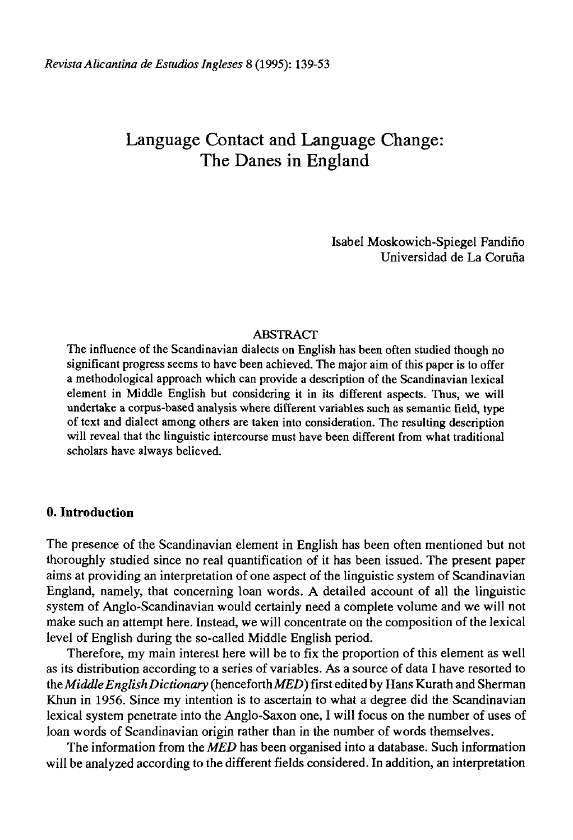# Language Contact and Language Change: The Danes in England

Isabel Moskowich-Spiegel Fandiño Universidad de La Coruña

## ABSTRACT

The influence of the Scandinavian dialects on English has been often studied though no significant progress seems to have been achieved. The major aim of this paper is to offer a methodological approach which can provide a description of the Scandinavian lexical element in Middle English but considering it in its different aspects. Thus, we will undertake a corpus-based analysis where different variables such as semantic field, type of text and dialect among others are taken into consideration. The resulting description will reveal that the linguistic intercourse must have been different from what traditional scholars have always believed.

## **0. Introduction**

The presence of the Scandinavian element in English has been often mentioned but not thoroughly studied since no real quantification of it has been issued. The present paper aims at providing an interpretation of one aspect of the linguistic system of Scandinavian England, namely, that concerning loan words. A detailed account of all the linguistic system of Anglo-Scandinavian would certainly need a complete volume and we will not make such an attempt here. Instead, we will concentrate on the composition of the lexical level of English during the so-called Middle English period.

Therefore, my main interest here will be to fix the proportion of this element as well as its distribution according to a series of variables. As a source of data I have resorted to the *Middle English Dictionary* (henceforth *MED*) first edited by Hans Kurath and Sherman Khun in 1956. Since my intention is to ascertain to what a degree did the Scandinavian lexical system penétrate into the Anglo-Saxon one, I will focus on the number of uses of loan words of Scandinavian origin rather than in the number of words themselves.

The information from the *MED* has been organised into a datábase. Such information will be analyzed according to the different fields considered. In addition, an interpretation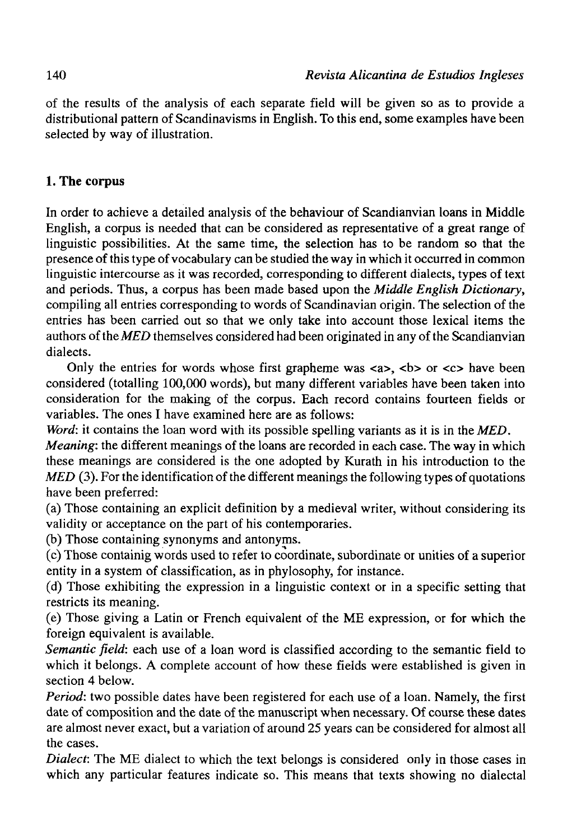of the results of the analysis of each sepárate field will be given so as to provide a distributional pattern of Scandinavisms in English. To this end, some examples have been selected by way of illustration.

## **1. The corpus**

In order to achieve a detailed analysis of the behaviour of Scandianvian loans in Middle English, a corpus is needed that can be considered as representative of a great range of linguistic possibilities. At the same time, the selection has to be random so that the presence of this type of vocabulary can be studied the way in which it occurred in common linguistic intercourse as it was recorded, corresponding to different dialects, types of text and periods. Thus, a corpus has been made based upon the *Middle English Dictionary,*  compiling all entries corresponding to words of Scandinavian origin. The selection of the entries has been carried out so that we only take into account those lexical items the authors of the MED themselves considered had been originated in any of the Scandianvian dialects.

Only the entries for words whose first grapheme was  $\langle a \rangle$ ,  $\langle b \rangle$  or  $\langle c \rangle$  have been considered (totalling 100,000 words), but many different variables have been taken into consideration for the making of the corpus. Each record contains fourteen fields or variables. The ones I have examined here are as follows:

*Word:* it contains the loan word with its possible spelling variants as it is in the *MED.* 

*Meaning:* the different meanings of the loans are recorded in each case. The way in which these meanings are considered is the one adopted by Kurath in his introduction to the *MED* (3). For the identification of the different meanings the following types of quotations have been preferred:

(a) Those containing an explicit definition by a medieval writer, without considering its validity or acceptance on the part of his contemporaries.

(b) Those containing synonyms and antonyms.

(c) Those containig words used to refer to coordínate, subordínate or unities of a superior entity in a system of classification, as in phylosophy, for instance.

(d) Those exhibiting the expression in a linguistic context or in a specific setting that restricts its meaning.

(e) Those giving a Latin or French equivalent of the ME expression, or for which the foreign equivalent is available.

*Semantic field:* each use of a loan word is classified according to the semantic field to which it belongs. A complete account of how these fields were established is given in section 4 below.

*Period:* two possible dates have been registered for each use of a loan. Namely, the first date of composition and the date of the manuscript when necessary. Of course these dates are almost never exact, but a variation of around 25 years can be considered for almost all the cases.

*Dialect:* The ME dialect to which the text belongs is considered only in those cases in which any particular features indícate so. This means that texts showing no dialectal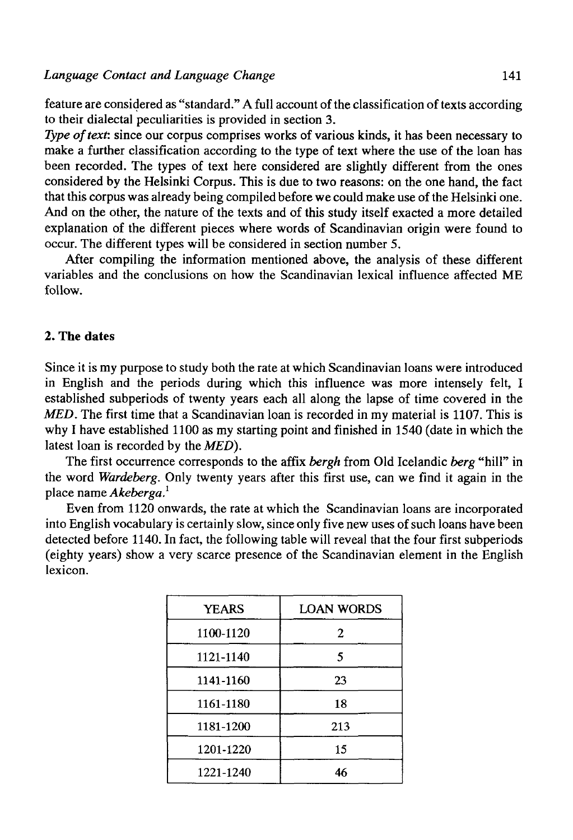feature are considered as "standard." A full account of the classification of texts according to their dialectal peculiarities is provided in section 3.

*Type of text:* since our corpus comprises works of various kinds, it has been necessary to make a further classification according to the type of text where the use of the loan has been recorded. The types of text here considered are slightly different from the ones considered by the Helsinki Corpus. This is due to two reasons: on the one hand, the fact that this corpus was already being compiled before we could make use of the Helsinki one. And on the other, the nature of the texts and of this study itself exacted a more detailed explanation of the different pieces where words of Scandinavian origin were found to occur. The different types will be considered in section number 5.

After compiling the information mentioned above, the analysis of these different variables and the conclusions on how the Scandinavian lexical influence affected ME follow.

## **2. The dates**

Since it is my purpose to study both the rate at which Scandinavian loans were introduced in English and the periods during which this influence was more intensely felt, I established subperiods of twenty years each all along the lapse of time covered in the *MED.* The first time that a Scandinavian loan is recorded in my material is 1107. This is why I have established 1100 as my starting point and finished in 1540 (date in which the latest loan is recorded by the *MED).* 

The first occurrence corresponds to the affix *bergh* from Oíd Icelandic *berg* "hill" in the word *Wardeberg.* Only twenty years after this first use, can we find it again in the place ñame *Akeberga.<sup>1</sup>*

Even from 1120 onwards, the rate at which the Scandinavian loans are incorporated into English vocabulary is certainly slow, since only five new uses of such loans have been detected before 1140. In fact, the following table will reveal that the four first subperiods (eighty years) show a very scarce presence of the Scandinavian element in the English lexicón.

| <b>YEARS</b> | LOAN WORDS |
|--------------|------------|
| 1100-1120    | 2          |
| 1121-1140    | 5          |
| 1141-1160    | 23         |
| 1161-1180    | 18         |
| 1181-1200    | 213        |
| 1201-1220    | 15         |
| 1221-1240    | 46         |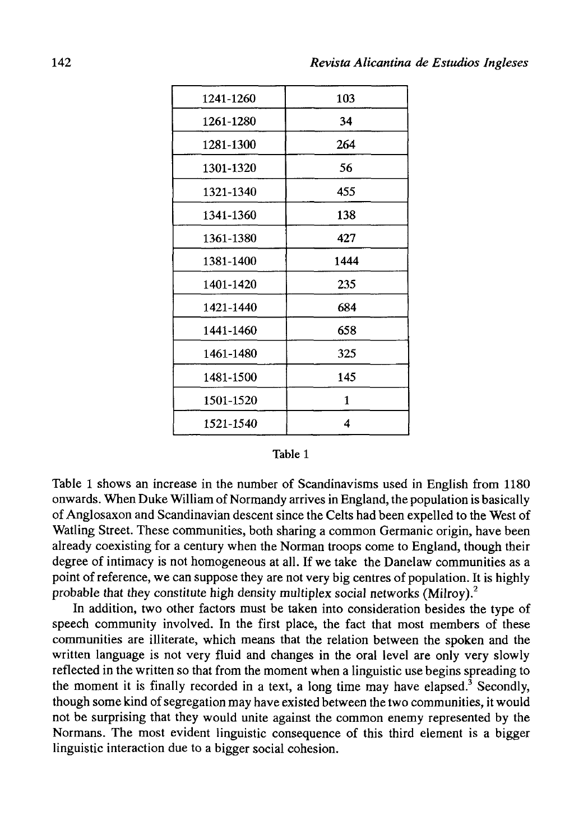| 1241-1260 | 103  |
|-----------|------|
| 1261-1280 | 34   |
| 1281-1300 | 264  |
| 1301-1320 | 56   |
| 1321-1340 | 455  |
| 1341-1360 | 138  |
| 1361-1380 | 427  |
| 1381-1400 | 1444 |
| 1401-1420 | 235  |
| 1421-1440 | 684  |
| 1441-1460 | 658  |
| 1461-1480 | 325  |
| 1481-1500 | 145  |
| 1501-1520 | 1    |
| 1521-1540 | 4    |

| н<br>n |
|--------|
|--------|

Table 1 shows an increase in the number of Scandinavisms used in English from 1180 onwards. When Duke William of Normandy arrives in England, the population is basically of Anglosaxon and Scandinavian descent since the Celts had been expelled to the West of Watling Street. These communities, both sharing a common Germanic origin, have been already coexisting for a century when the Norman troops come to England, though their degree of intimacy is not homogeneous at all. If we take the Danelaw communities as a point of reference, we can suppose they are not very big centres of population. It is highly probable that they constitute high density multiplex social networks (Milroy).<sup>2</sup>

In addition, two other factors must be taken into consideration besides the type of speech community involved. In the first place, the fact that most members of these communities are illiterate, which means that the relation between the spoken and the written language is not very fluid and changes in the oral level are only very slowly reflected in the written so that from the moment when a linguistic use begins spreading to the moment it is finally recorded in a text, a long time may have elapsed.<sup>3</sup> Secondly, though some kind of segregation may have existed between the two communities, it would not be surprising that they would unite against the common enemy represented by the Normans. The most evident linguistic consequence of this third element is a bigger linguistic interaction due to a bigger social cohesion.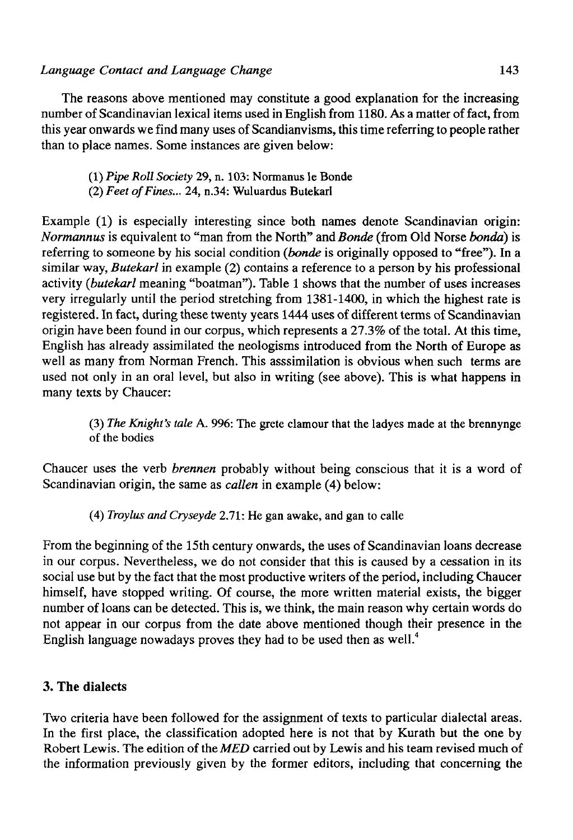The reasons above mentioned may constitute a good explanation for the increasing number of Scandinavian lexical items used in English from 1180. As a matter of fact, from this year onwards we find many uses of Scandianvisms, this time referring to people rather than to place ñames. Some instances are given below:

- (1) *Pipe Roll Society* 29, n. 103: Normanus le Bonde
- (2) *Feet of Fines...* 24, n.34: Wuluardus Butekarl

Example (1) is especially interesting since both names denote Scandinavian origin: *Normannus* is equivalent to "man from the North" and *Bonde* (from Oíd Norse *bonda)* is referring to someone by his social condition *(bonde* is originally opposed to "free"). In a similar way, *Butekarl* in example (2) contains a reference to a person by his professional activity *(butekarl* meaning "boatman"). Table 1 shows that the number of uses increases very irregularly until the period stretching from 1381-1400, in which the highest rate is registered. In fact, during these twenty years 1444 uses of different terms of Scandinavian origin have been found in our corpus, which represents a 27.3% of the total. At this time, English has already assimilated the neologisms introduced from the North of Europe as well as many from Norman French. This asssimilation is obvious when such terms are used not only in an oral level, but also in writing (see above). This is what happens in many texts by Chaucer:

(3) *The Knight's tale* A. 996: The grete clamour that the ladyes made at the brennynge of the bodies

Chaucer uses the verb *brennen* probably without being conscious that it is a word of Scandinavian origin, the same as *callen* in example (4) below:

(4) *Troylus andCryseyde* 2.71: He gan awake, and gan to calle

From the beginning of the 15th century onwards, the uses of Scandinavian loans decrease in our corpus. Nevertheless, we do not consider that this is caused by a cessation in its social use but by the fact that the most productive writers of the period, including Chaucer himself, have stopped writing. Of course, the more written material exists, the bigger number of loans can be detected. This is, we think, the main reason why certain words do not appear in our corpus from the date above mentioned though their presence in the English language nowadays proves they had to be used then as well.<sup>4</sup>

## **3. The dialects**

Two criteria have been followed for the assignment of texts to particular dialectal áreas. In the first place, the classification adopted here is not that by Kurath but the one by Robert Lewis. The edition of *the MED* carried out by Lewis and his team revised much of the information previously given by the former editors, including that concerning the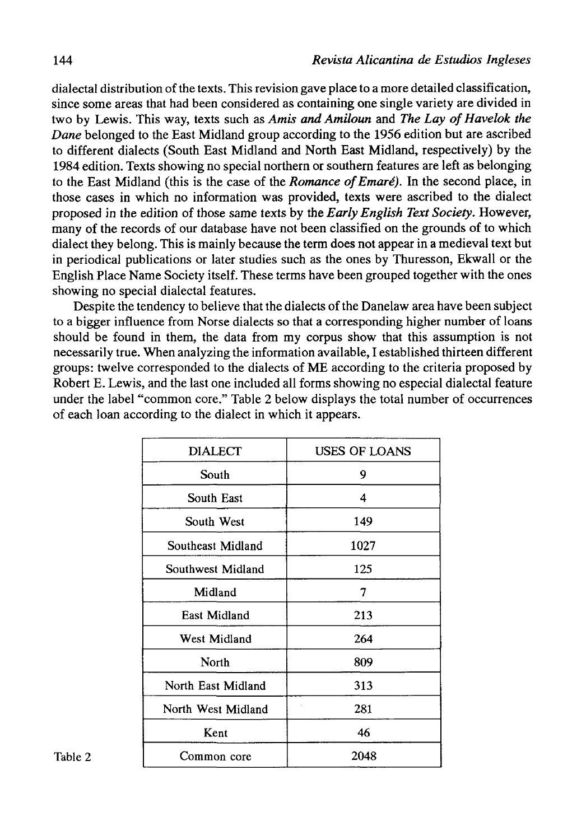dialectal distribution of the texts. This revisión gave place to a more detailed classificatión, since some áreas that had been considered as containing one single variety are divided in two by Lewis. This way, texts such as *Amis and Amiloun* and *The Lay of Havelok the Dane* belonged to the East Midland group according to the 1956 edition but are ascribed to different dialects (South East Midland and North East Midland, respectively) by the 1984 edition. Texts showing no special northern or southern features are left as belonging to the East Midland (this is the case of the *Romance ofEmaré).* In the second place, in those cases in which no information was provided, texts were ascribed to the dialect proposed in the edition of those same texts by the *Early English Text Society.* However, many of the records of our database have not been classified on the grounds of to which dialect they belong. This is mainly because the term does not appear in a medieval text but in periodical publications or later studies such as the ones by Thuresson, Ekwall or the English Place Ñame Society itself. These terms have been grouped together with the ones showing no special dialectal features.

Despite the tendency to believe that the dialects of the Danelaw area have been subject to a bigger influence from Norse dialects so that a corresponding higher number of loans should be found in them, the data from my corpus show that this assumption is not necessarily true. When analyzing the information available, I established thirteen different groups: twelve corresponded to the dialects of ME according to the criteria proposed by Robert E. Lewis, and the last one included all forms showing no especial dialectal feature under the label "common core." Table 2 below displays the total number of occurrences of each loan according to the dialect in which it appears.

|         | <b>DIALECT</b>     | <b>USES OF LOANS</b> |
|---------|--------------------|----------------------|
|         | South              | 9                    |
|         | South East         | 4                    |
|         | South West         | 149                  |
|         | Southeast Midland  | 1027                 |
|         | Southwest Midland  | 125                  |
|         | Midland            | 7                    |
|         | East Midland       | 213                  |
|         | West Midland       | 264                  |
|         | North              | 809                  |
|         | North East Midland | 313                  |
|         | North West Midland | 281                  |
|         | Kent               | 46                   |
| Table 2 | Common core        | 2048                 |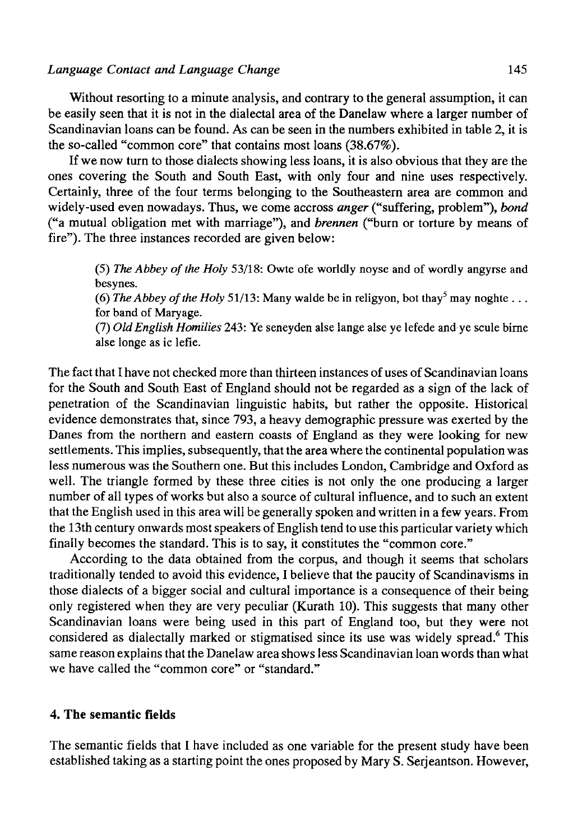#### *Language Contad and Language Change* 145

Without resorting to a minute analysis, and contrary to the general assumption, it can be easily seen that it is not in the dialectal area of the Danelaw where a larger number of Scandinavian loans can be found. As can be seen in the numbers exhibited in table 2, it is the so-called "common core" that contains most loans (38.67%).

If we now turn to those dialects showing less loans, it is also obvious that they are the ones covering the South and South East, with only four and nine uses respectively. Certainly, three of the four terms belonging to the Southeastern area are common and widely-used even nowadays. Thus, we come accross *anger* ("suffering, problem"), *bond*  ("a mutual obligation met with marriage"), and *brennen* ("burn or torture by means of fire"). The three instances recorded are given below:

(5) *The Abbey of the Holy* 53/18: Owte ofe worldly noyse and of wordly angyrse and besynes.

(6) The Abbey of the Holy 51/13: Many walde be in religyon, bot thay<sup>5</sup> may noghte ... for band of Maryage.

(7) *OídEnglish Homilies* 243: Ye seneyden alse lange alse ye lefede and ye scule birne alse longe as ic lefie.

The fact that I have not checked more than thirteen instances of uses of Scandinavian loans for the South and South East of England should not be regarded as a sign of the lack of penetration of the Scandinavian linguistic habits, but rather the opposite. Historical evidence demonstrates that, since 793, a heavy demographic pressure was exerted by the Danes from the northern and eastern coasts of England as they were looking for new settlements. This implies, subsequently, that the area where the continental population was less numerous was the Southern one. But this includes London, Cambridge and Oxford as well. The triangle formed by these three cities is not only the one producing a larger number of all types of works but also a source of cultural influence, and to such an extent that the English used in this area will be generally spoken and written in a few years. From the 13th century onwards most speakers of English tend to use this particular variety which finally becomes the standard. This is to say, it constitutes the "common core."

According to the data obtained from the corpus, and though it seems that scholars traditionally tended to avoid this evidence, I believe that the paucity of Scandinavisms in those dialects of a bigger social and cultural importance is a consequence of their being only registered when they are very peculiar (Kurath 10). This suggests that many other Scandinavian loans were being used in this part of England too, but they were not considered as dialectally marked or stigmatised since its use was widely spread.<sup>6</sup> This same reason explains that the Danelaw area shows less Scandinavian loan words than what we have called the "common core" or "standard."

### **4. The semantic fields**

The semantic fields that I have included as one variable for the present study have been established taking as a starting point the ones proposed by Mary S. Serjeantson. However,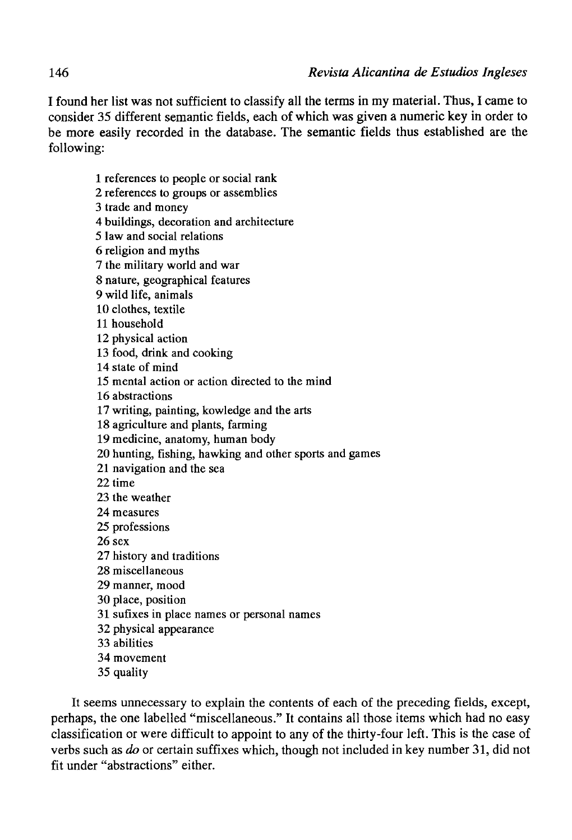I found her list was not sufficient to classify all the terms in my material. Thus, I carne to consider 35 different semantic fields, each of which was given a numeric key in order to be more easily recorded in the datábase. The semantic fields thus established are the following:

1 references to people or social rank 2 references to groups or assemblies 3 trade and money 4 buildings, decoration and architecture 5 law and social relations 6 religión and myths 7 the military world and war 8 nature, geographical features 9 wild life, animals 10 clothes, textile 11 household 12 physical action 13 food, drink and cooking 14 state of mind 15 mental action or action directed to the mind 16 abstractions 17 writing, painting, kowledge and the arts 18 agriculture and plants, farming 19 medicine, anatomy, human body 20 hunting, fishing, hawking and other sports and games 21 navigation and the sea 22 time 23 the weather 24 measures 25 professions 26 sex 27 history and traditions 28 miscellaneous 29 manner, mood 30 place, position 31 sufixes in place names or personal names 32 physical appearance 33 abilities 34 movement 35 quality

It seems unnecessary to explain the contents of each of the preceding fields, except, perhaps, the one labelled "miscellaneous." It contains all those items which had no easy classification or were difficult to appoint to any of the thirty-four left. This is the case of verbs such as *do* or certain suffixes which, though not included in key number 31, did not fit under "abstractions" either.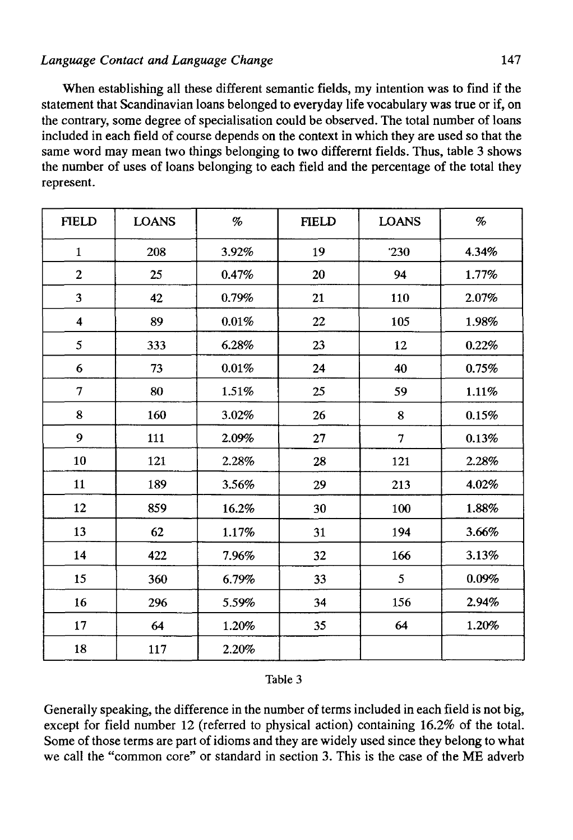When establishing all these different semantic fields, my intention was to find if the statement that Scandinavian loans belonged to everyday life vocabulary was true or if, on the contrary, some degree of specialisation could be observed. The total number of loans included in each field of course depends on the context in which they are used so that the same word may mean two things belonging to two differernt fields. Thus, table 3 shows the number of uses of loans belonging to each field and the percentage of the total they represent.

| <b>FIELD</b>            | <b>LOANS</b> | %     | <b>FIELD</b> | <b>LOANS</b>   | $\%$  |
|-------------------------|--------------|-------|--------------|----------------|-------|
| $\mathbf{1}$            | 208          | 3.92% | 19           | 230            | 4.34% |
| $\mathbf{2}$            | 25           | 0.47% | 20           | 94             | 1.77% |
| $\overline{\mathbf{3}}$ | 42           | 0.79% | 21           | 110            | 2.07% |
| $\overline{\mathbf{4}}$ | 89           | 0.01% | 22           | 105            | 1.98% |
| 5                       | 333          | 6.28% | 23           | 12             | 0.22% |
| 6                       | 73           | 0.01% | 24           | 40             | 0.75% |
| $\overline{7}$          | 80           | 1.51% | $25\,$       | 59             | 1.11% |
| 8                       | 160          | 3.02% | 26           | 8              | 0.15% |
| 9                       | 111          | 2.09% | 27           | $\tau$         | 0.13% |
| 10                      | 121          | 2.28% | 28           | 121            | 2.28% |
| $11\,$                  | 189          | 3.56% | 29           | 213            | 4.02% |
| 12                      | 859          | 16.2% | 30           | 100            | 1.88% |
| 13                      | 62           | 1.17% | 31           | 194            | 3.66% |
| 14                      | 422          | 7.96% | 32           | 166            | 3.13% |
| 15                      | 360          | 6.79% | 33           | $\mathfrak{S}$ | 0.09% |
| 16                      | 296          | 5.59% | 34           | 156            | 2.94% |
| 17                      | 64           | 1.20% | 35           | 64             | 1.20% |
| 18                      | 117          | 2.20% |              |                |       |

### Table 3

Generally speaking, the difference in the number of terms included in each field is not big, except for field number 12 (referred to physical action) containing 16.2% of the total. Some of those terms are part of idioms and they are widely used since they belong to what we cali the "common core" or standard in section 3. This is the case of the ME adverb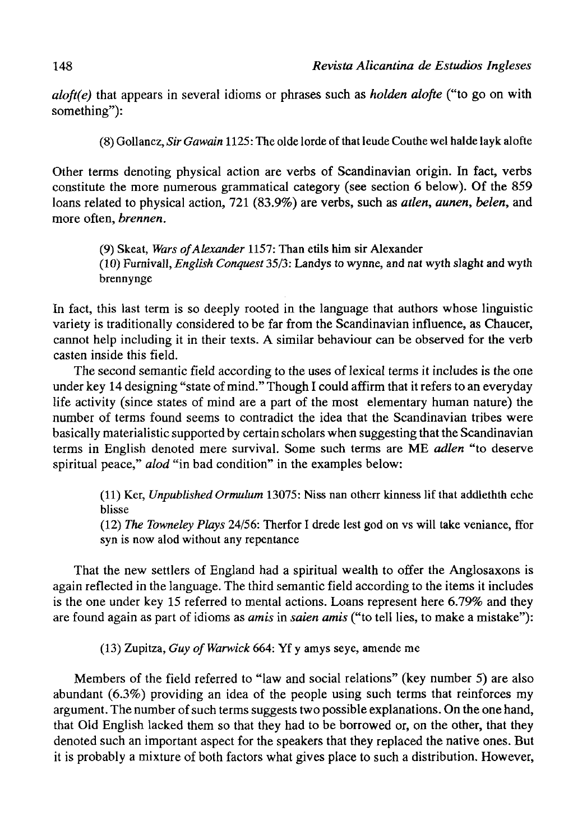*aloft(e)* that appears in several idioms or phrases such as *holden alofte* ("to go on with something"):

(8) Gollancz, *Sir Gawain* 1125: The olde lorde of that leude Couthe wel halde layk alofte

Other terms denoting physical action are verbs of Scandinavian origin. In fact, verbs constitute the more numerous grammatical category (see section 6 below). Of the 859 loans related to physical action, 721 (83.9%) are verbs, such as *atlen, aunen, belén,* and more often, *brennen.* 

(9) Skeat, *Wars ofAlexander* 1157: Than etils him sir Alexander (10) Furnivall, *English Conquest* 35/3: Landys to wynne, and nat wyth slaght and wyth brennynge

In fact, this last term is so deeply rooted in the language that authors whose linguistic variety is traditionally considered to be far from the Scandinavian influence, as Chaucer, cannot help including it in their texts. A similar behaviour can be observed for the verb casten inside this field.

The second semantic field according to the uses of lexical terms it includes is the one under key 14 designing "state of mind." Though I could affirm that it refers to an everyday life activity (since states of mind are a part of the most elementary human nature) the number of terms found seems to contradict the idea that the Scandinavian tribes were basically materialistic supported by certain scholars when suggesting that the Scandinavian terms in English denoted mere survival. Some such terms are ME *adíen* "to deserve spiritual peace," *alod* "in bad condition" in the examples below:

(11) Ker, *Unpublished Ormulum* 13075: Niss nan otherr kinness lif that addlethth eche blisse

(12) *The Towneley Plays* 24/56: Therfor I drede lest god on vs will take veniance, ffor syn is now alod without any repentance

That the new settlers of England had a spiritual wealth to offer the Anglosaxons is again reflected in the language. The third semantic field according to the items it includes is the one under key 15 referred to mental actions. Loans represent here 6.79% and they are found again as part of idioms as *amis* in *saien amis* ("to tell lies, to make a mistake"):

(13) Zupitza, *Guy ofWarwick* 664: Yf y amys seye, amende me

Members of the field referred to "law and social relations" (key number 5) are also abundant (6.3%) providing an idea of the people using such terms that reinforces my argument. The number of such terms suggests two possible explanations. On the one hand, that Oíd English lacked them so that they had to be borrowed or, on the other, that they denoted such an important aspect for the speakers that they replaced the native ones. But it is probably a mixture of both factors what gives place to such a distribution. However,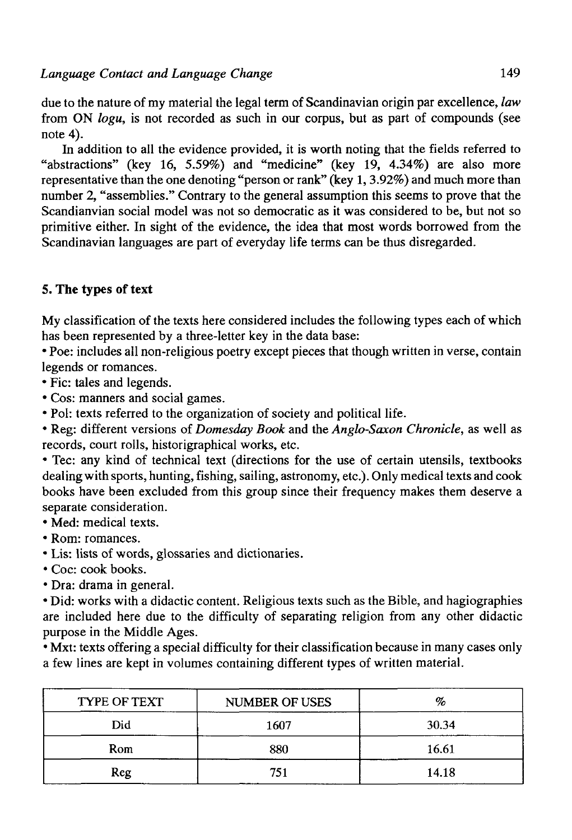due to the nature of my material the legal term of Scandinavian origin par excellence, *law*  from ON *logu,* is not recorded as such in our corpus, but as part of compounds (see note 4).

In addition to all the evidence provided, it is worth noting that the fields referred to "abstractions" (key 16, 5.59%) and "medicine" (key 19, 4.34%) are also more representative than the one denoting "person or rank" (key 1,3.92%) and much more than number 2, "assemblies." Contrary to the general assumption this seems to prove that the Scandianvian social model was not so democratic as it was considered to be, but not so primitive either. In sight of the evidence, the idea that most words borrowed from the Scandinavian languages are part of everyday life terms can be thus disregarded.

## **5. The types of text**

My classification of the texts here considered includes the following types each of which has been represented by a three-letter key in the data base:

• Poe: includes all non-religious poetry except pieces that though written in verse, contain legends or romances.

• Fie: tales and legends.

- Cos: manners and social games.
- Pol: texts referred to the organization of society and political life.

• Reg: different versions of *Domesday Book* and the *Anglo-Saxon Chronicle,* as well as records, court rolls, historigraphical works, etc.

• Tec: any kind of technical text (directions for the use of certain utensils, textbooks dealing with sports, hunting, fishing, sailing, astronomy, etc.). Only medical texts and cook books have been excluded from this group since their frequeney makes them deserve a separate consideration.

- Med: medical texts.
- Rom: romances.
- Lis: lists of words, glossaries and dictionaries.
- Coc: cook books.
- Dra: drama in general.

• Did: works with a didactic contení. Religious texts such as the Bible, and hagiographies are included here due to the difficulty of separating religión from any other didactic purpose in the Middle Ages.

• Mxt: texts offering a special difficulty for their classification because in many cases only a few lines are kept in volumes containing different types of written material.

| TYPE OF TEXT | <b>NUMBER OF USES</b> | %     |
|--------------|-----------------------|-------|
| Did          | 1607                  | 30.34 |
| Rom          | 880                   | 16.61 |
| Reg          | 751                   | 14.18 |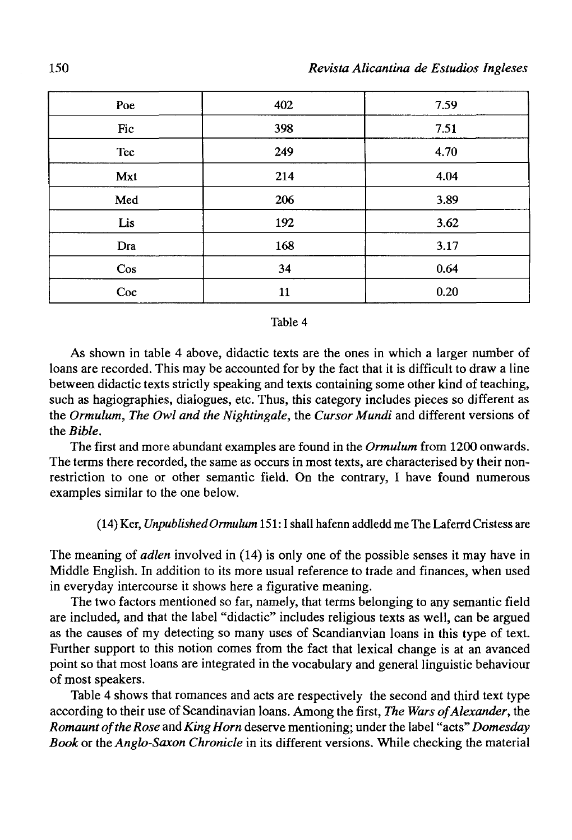| Poe    | 402 | 7.59 |
|--------|-----|------|
| Fic    | 398 | 7.51 |
| Tec    | 249 | 4.70 |
| Mxt    | 214 | 4.04 |
| Med    | 206 | 3.89 |
| Lis    | 192 | 3.62 |
| Dra    | 168 | 3.17 |
| $\cos$ | 34  | 0.64 |
| Coc    | 11  | 0.20 |

#### Table 4

As shown in table 4 above, didactic texts are the ones in which a larger number of loans are recorded. This may be accounted for by the fact that it is difficult to draw a line between didactic texts strictly speaking and texts containing some other kind of teaching, such as hagiographies, dialogues, etc. Thus, this category includes pieces so different as the *Ormulum, The Owl and the Nightingale,* the *Cursor Mundi* and different versions of the *Bible.* 

The first and more abundant examples are found in the *Ormulum* from 1200 onwards. The terms there recorded, the same as oceurs in most texts, are characterised by their nonrestriction to one or other semantic field. On the contrary, I have found numerous examples similar to the one below.

#### (14) Ker, *UnpublishedOrmulum* 151:1 shall hafenn addledd me The Laferrd Cristess are

The meaning of *adíen* involved in (14) is only one of the possible senses it may have in Middle English. In addition to its more usual reference to trade and finances, when used in everyday intercourse it shows here a figurative meaning.

The two factors mentioned so far, namely, that terms belonging to any semantic field are included, and that the label "didactic" includes religious texts as well, can be argued as the causes of my detecting so many uses of Scandianvian loans in this type of text. Further support to this notion comes from the fact that lexical change is at an avanced point so that most loans are integrated in the vocabulary and general linguistic behaviour of most speakers.

Table 4 shows that romances and acts are respectively the second and third text type according to their use of Scandinavian loans. Among the first, *The Wars of Alexander*, the *Romauntof the Rose* and *KingHorn* deserve mentioning; under the label "acts" *Domesday Book* or the *Anglo-Saxon Chronicle* in its different versions. While checking the material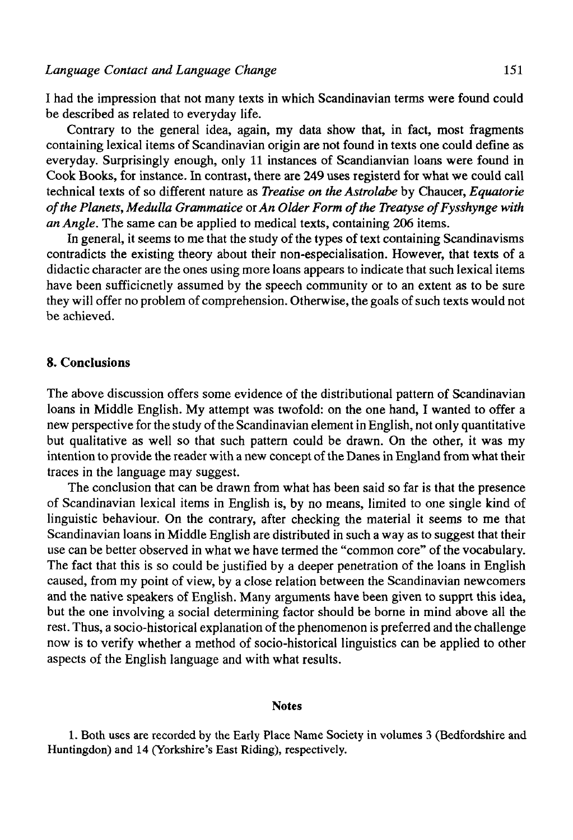I had the impression that not many texts in which Scandinavian terms were found could be described as related to everyday life.

Contrary to the general idea, again, my data show that, in fact, most fragments containing lexical items of Scandinavian origin are not found in texts one could define as everyday. Surprisingly enough, only 11 instances of Scandianvian loans were found in Cook Books, for instance. In contrast, there are 249 uses registerd for what we could cali technical texts of so different nature as *Treatise on the Astrolabe* by Chaucer, *Equatorie ofthe Planets, Medulla Grammatice oxAn Older Form ofthe Treatyse ofFysshynge with an Angle.* The same can be applied to medical texts, containing 206 items.

In general, it seems to me that the study of the types of text containing Scandinavisms contradicts the existing theory about their non-especialisation. However, that texts of a didactic character are the ones using more loans appears to indícate that such lexical items have been sufficicnetly assumed by the speech community or to an extent as to be sure they will offer no problem of comprehension. Otherwise, the goals of such texts would not be achieved.

## 8. Conclusions

The above discussion offers some evidence of the distributional pattern of Scandinavian loans in Middle English. My attempt was twofold: on the one hand, I wanted to offer a new perspective for the study of the Scandinavian element in English, not only quantitative but qualitative as well so that such pattern could be drawn. On the other, it was my intention to provide the reader with a new concept of the Danes in England from what their traces in the language may suggest.

The conclusion that can be drawn from what has been said so far is that the presence of Scandinavian lexical items in English is, by no means, limited to one single kind of linguistic behaviour. On the contrary, after checking the material it seems to me that Scandinavian loans in Middle English are distributed in such a way as to suggest that their use can be better observed in what we have termed the "common core" of the vocabulary. The fact that this is so could be justified by a deeper penetration of the loans in English caused, from my point of view, by a cióse relation between the Scandinavian newcomers and the native speakers of English. Many arguments have been given to supprt this idea, but the one involving a social determining factor should be borne in mind above all the rest. Thus, a socio-historical explanation ofthe phenomenon is preferred and the challenge now is to verify whether a method of socio-historical linguistics can be applied to other aspects of the English language and with what results.

#### Notes

1. Both uses are recorded by the Early Place Ñame Society in volumes 3 (Bedfordshire and Huntingdon) and 14 (Yorkshire's East Riding), respectively.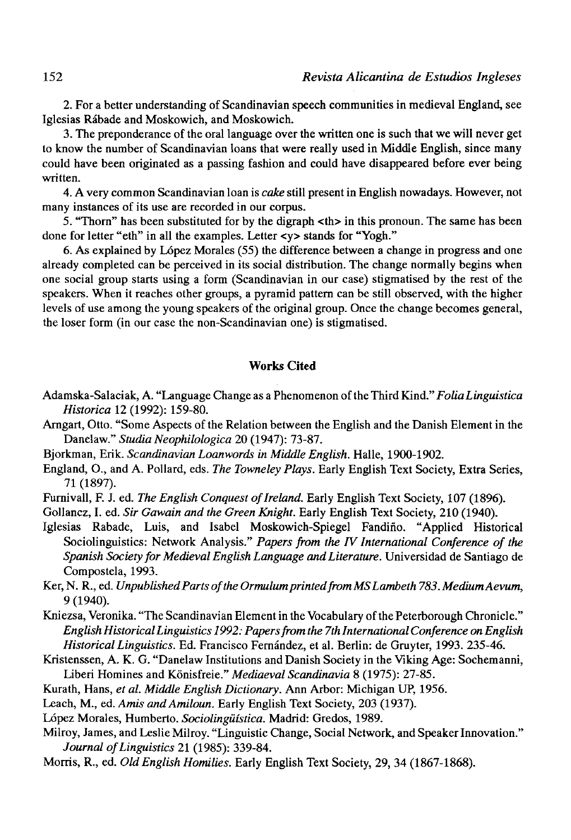*2.* For a better understanding of Scandinavian speech communities in medieval England, see Iglesias Rábade and Moskowich, and Moskowich.

3. The preponderance of the oral language over the written one is such that we will never get to know the number of Scandinavian loans that were really used in Middle English, since many could have been originated as a passing fashion and could have disappeared before ever being written.

4. A very common Scandinavian loan is *calce* still present in English nowadays. However, not many instances of its use are recorded in our corpus.

5. "Thorn" has been substituted for by the digraph <th> in this pronoun. The same has been done for letter "eth" in all the examples. Letter <y> stands for "Yogh."

6. As explained by López Morales (55) the difference between a change in progress and one already completed can be perceived in its social distribution. The change normally begins when one social group starts using a form (Scandinavian in our case) stigmatised by the rest of the speakers. When it reaches other groups, a pyramid pattern can be still observed, with the higher levels of use among the young speakers of the original group. Once the change becomes general, the loser form (in our case the non-Scandinavian one) is stigmatised.

### **Works Cited**

- Adamska-Salaciak, A. "Language Change as a Phenomenon of the Third Kind." *Folia Lingüistica Histórica* 12 (1992): 159-80.
- Arngart, Otto. "Some Aspects of the Relation between the English and the Danish Element in the Danelaw." *Studia Neophilologica* 20 (1947): 73-87.
- Bjorkman, Erik. *Scandinavian Loanwords in Middle English.* Halle, 1900-1902.
- England, O., and A. Pollard, eds. *The Towneley Plays.* Early English Text Society, Extra Series, 71 (1897).
- Furnivall, F. J. ed. The English Conquest of Ireland. Early English Text Society, 107 (1896).

Gollancz, I. ed. *Sir Gawain and the Green Knight.* Early English Text Society, 210 (1940).

Iglesias Rabade, Luis, and Isabel Moskowich-Spiegel Fandiño. "Applied Historical Sociolinguistics: Network Analysis." *Papers from the TV International Conference of the Spanish Society for Medieval English Language and Literature.* Universidad de Santiago de Compostela, 1993.

Ker, N. R., ed. Unpublished Parts of the Ormulum printed from MS Lambeth 783. Medium Aevum, *9* (1940).

- Kniezsa, Veronika. "The Scandinavian Element in the Vocabulary of the Peterborough Chronicle." *English Historical Linguistics 1992: Papers from the 7th International Conference on English Historical Linguistics.* Ed. Francisco Fernández, et al. Berlín: de Gruyter, 1993. 235-46.
- Kristenssen, A. K. G. "Danelaw Institutions and Danish Society in the Viking Age: Sochemanni, Liberi Homines and Kónisfreie." *Medioeval Scandinavia* 8 (1975): 27-85.
- Kurath, Hans, *et al. Middle English Dictionary.* Ann Arbor: Michigan UP, 1956.
- Leach, M., ed. Amis and Amiloun. Early English Text Society, 203 (1937).
- López Morales, Humberto. *Sociolingüística.* Madrid: Gredos, 1989.
- Milroy, James, and Leslie Milroy. "Linguistic Change, Social Network, and Speaker Innovation." *Journal of Linguistics* 21 (1985): 339-84.
- Morris, R., ed. *Oíd English Homilies.* Early English Text Society, 29, 34 (1867-1868).